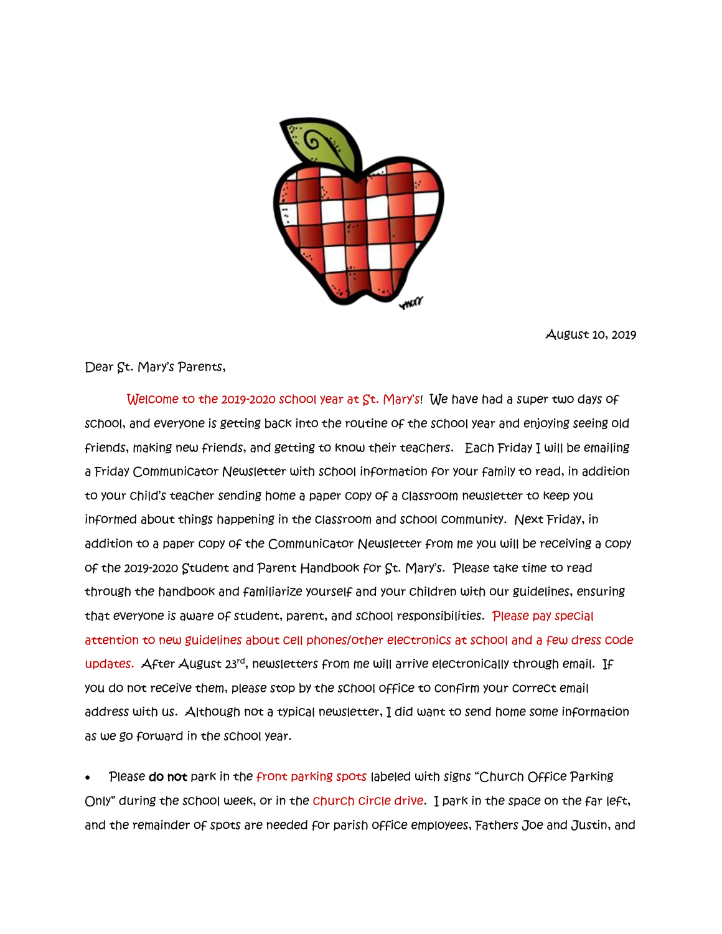

August 10, 2019

Dear St. Mary's Parents,

 Welcome to the 2019-2020 school year at St. Mary's! We have had a super two days of school, and everyone is getting back into the routine of the school year and enjoying seeing old friends, making new friends, and getting to know their teachers. Each Friday I will be emailing a Friday Communicator Newsletter with school information for your family to read, in addition to your child's teacher sending home a paper copy of a classroom newsletter to keep you informed about things happening in the classroom and school community. Next Friday, in addition to a paper copy of the Communicator Newsletter from me you will be receiving a copy of the 2019-2020 Student and Parent Handbook for St. Mary's. Please take time to read through the handbook and familiarize yourself and your children with our guidelines, ensuring that everyone is aware of student, parent, and school responsibilities. Please pay special attention to new guidelines about cell phones/other electronics at school and a few dress code updates. After August  $23<sup>rd</sup>$ , newsletters from me will arrive electronically through email. If you do not receive them, please stop by the school office to confirm your correct email address with us. Although not a typical newsletter, I did want to send home some information as we go forward in the school year.

Please do not park in the front parking spots labeled with signs "Church Office Parking Only" during the school week, or in the church circle drive. I park in the space on the far left, and the remainder of spots are needed for parish office employees, Fathers Joe and Justin, and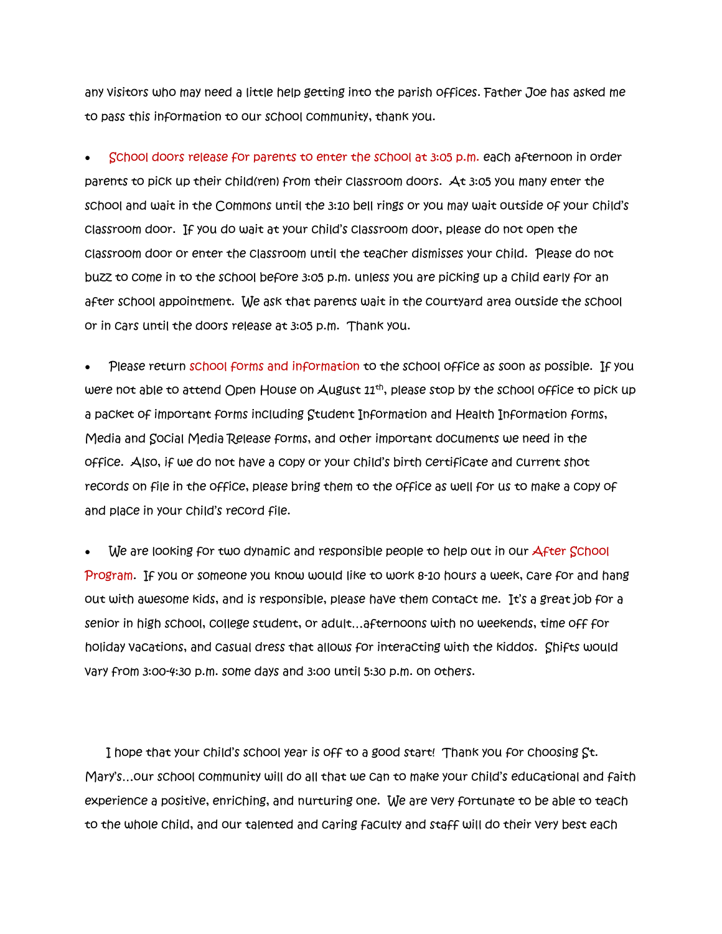any visitors who may need a little help getting into the parish offices. Father Joe has asked me to pass this information to our school community, thank you.

• School doors release for parents to enter the school at 3:05 p.m. each afternoon in order parents to pick up their child(ren) from their classroom doors. At 3:05 you many enter the school and wait in the Commons until the 3:10 bell rings or you may wait outside of your child's classroom door. If you do wait at your child's classroom door, please do not open the classroom door or enter the classroom until the teacher dismisses your child. Please do not buzz to come in to the school before 3:05 p.m. unless you are picking up a child early for an after school appointment. We ask that parents wait in the courtyard area outside the school or in cars until the doors release at 3:05 p.m. Thank you.

• Please return school forms and information to the school office as soon as possible. If you were not able to attend Open House on August  $11<sup>th</sup>$ , please stop by the school office to pick up a packet of important forms including Student Information and Health Information forms, Media and Social Media Release forms, and other important documents we need in the office. Also, if we do not have a copy or your child's birth certificate and current shot records on file in the office, please bring them to the office as well for us to make a copy of and place in your child's record file.

We are looking for two dynamic and responsible people to help out in our After School Program. If you or someone you know would like to work 8-10 hours a week, care for and hang out with awesome kids, and is responsible, please have them contact me. It's a great job for a senior in high school, college student, or adult…afternoons with no weekends, time off for holiday vacations, and casual dress that allows for interacting with the kiddos. Shifts would vary from 3:00-4:30 p.m. some days and 3:00 until 5:30 p.m. on others.

I hope that your child's school year is off to a good start! Thank you for choosing St. Mary's…our school community will do all that we can to make your child's educational and faith experience a positive, enriching, and nurturing one. We are very fortunate to be able to teach to the whole child, and our talented and caring faculty and staff will do their very best each